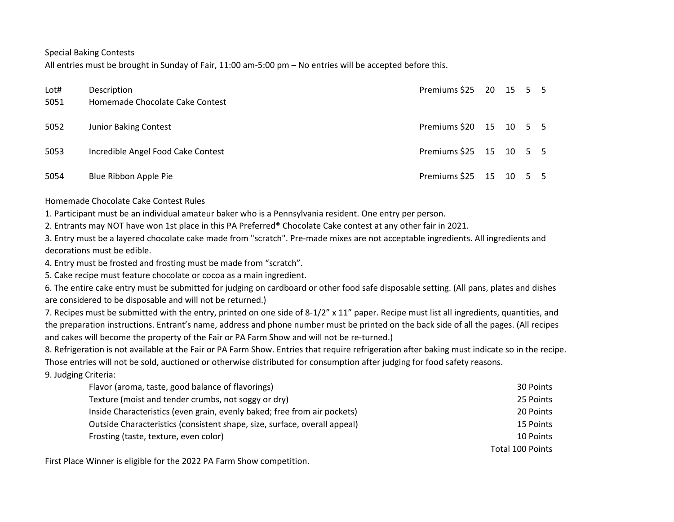Special Baking Contests

All entries must be brought in Sunday of Fair, 11:00 am-5:00 pm – No entries will be accepted before this.

| Lot#<br>5051 | Description<br>Homemade Chocolate Cake Contest | Premiums \$25 20 15 5 5 |  |  |
|--------------|------------------------------------------------|-------------------------|--|--|
| 5052         | <b>Junior Baking Contest</b>                   | Premiums \$20 15 10 5 5 |  |  |
| 5053         | Incredible Angel Food Cake Contest             | Premiums \$25 15 10 5 5 |  |  |
| 5054         | Blue Ribbon Apple Pie                          | Premiums \$25 15 10 5 5 |  |  |

Homemade Chocolate Cake Contest Rules

1. Participant must be an individual amateur baker who is a Pennsylvania resident. One entry per person.

2. Entrants may NOT have won 1st place in this PA Preferred® Chocolate Cake contest at any other fair in 2021.

3. Entry must be a layered chocolate cake made from "scratch". Pre-made mixes are not acceptable ingredients. All ingredients and decorations must be edible.

4. Entry must be frosted and frosting must be made from "scratch".

5. Cake recipe must feature chocolate or cocoa as a main ingredient.

6. The entire cake entry must be submitted for judging on cardboard or other food safe disposable setting. (All pans, plates and dishes are considered to be disposable and will not be returned.)

7. Recipes must be submitted with the entry, printed on one side of 8-1/2" x 11" paper. Recipe must list all ingredients, quantities, and the preparation instructions. Entrant's name, address and phone number must be printed on the back side of all the pages. (All recipes and cakes will become the property of the Fair or PA Farm Show and will not be re-turned.)

8. Refrigeration is not available at the Fair or PA Farm Show. Entries that require refrigeration after baking must indicate so in the recipe. Those entries will not be sold, auctioned or otherwise distributed for consumption after judging for food safety reasons.

9. Judging Criteria:

| Flavor (aroma, taste, good balance of flavorings)                         | 30 Points        |
|---------------------------------------------------------------------------|------------------|
| Texture (moist and tender crumbs, not soggy or dry)                       | 25 Points        |
| Inside Characteristics (even grain, evenly baked; free from air pockets)  | 20 Points        |
| Outside Characteristics (consistent shape, size, surface, overall appeal) | 15 Points        |
| Frosting (taste, texture, even color)                                     | 10 Points        |
|                                                                           | Total 100 Points |

First Place Winner is eligible for the 2022 PA Farm Show competition.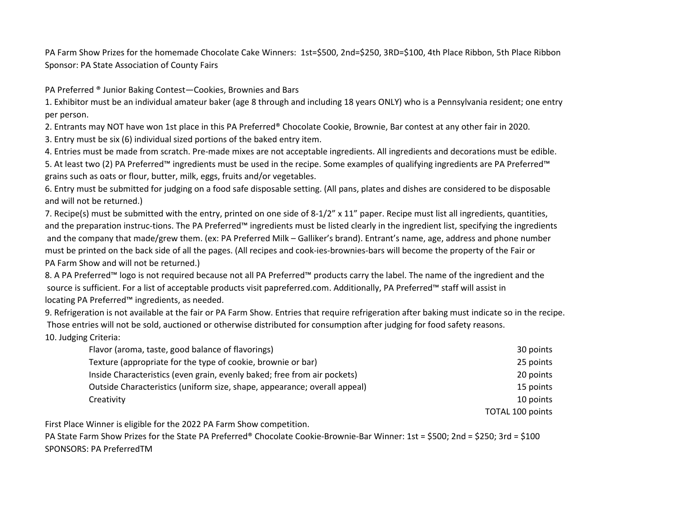PA Farm Show Prizes for the homemade Chocolate Cake Winners: 1st=\$500, 2nd=\$250, 3RD=\$100, 4th Place Ribbon, 5th Place Ribbon Sponsor: PA State Association of County Fairs

PA Preferred ® Junior Baking Contest—Cookies, Brownies and Bars

1. Exhibitor must be an individual amateur baker (age 8 through and including 18 years ONLY) who is a Pennsylvania resident; one entry per person.

2. Entrants may NOT have won 1st place in this PA Preferred® Chocolate Cookie, Brownie, Bar contest at any other fair in 2020.

3. Entry must be six (6) individual sized portions of the baked entry item.

4. Entries must be made from scratch. Pre-made mixes are not acceptable ingredients. All ingredients and decorations must be edible.

5. At least two (2) PA Preferred™ ingredients must be used in the recipe. Some examples of qualifying ingredients are PA Preferred™ grains such as oats or flour, butter, milk, eggs, fruits and/or vegetables.

6. Entry must be submitted for judging on a food safe disposable setting. (All pans, plates and dishes are considered to be disposable and will not be returned.)

7. Recipe(s) must be submitted with the entry, printed on one side of 8-1/2" x 11" paper. Recipe must list all ingredients, quantities, and the preparation instruc-tions. The PA Preferred™ ingredients must be listed clearly in the ingredient list, specifying the ingredients and the company that made/grew them. (ex: PA Preferred Milk – Galliker's brand). Entrant's name, age, address and phone number must be printed on the back side of all the pages. (All recipes and cook-ies-brownies-bars will become the property of the Fair or PA Farm Show and will not be returned.)

8. A PA Preferred™ logo is not required because not all PA Preferred™ products carry the label. The name of the ingredient and the source is sufficient. For a list of acceptable products visit papreferred.com. Additionally, PA Preferred™ staff will assist in locating PA Preferred™ ingredients, as needed.

9. Refrigeration is not available at the fair or PA Farm Show. Entries that require refrigeration after baking must indicate so in the recipe. Those entries will not be sold, auctioned or otherwise distributed for consumption after judging for food safety reasons.

10. Judging Criteria:

| Flavor (aroma, taste, good balance of flavorings)                         | 30 points               |
|---------------------------------------------------------------------------|-------------------------|
| Texture (appropriate for the type of cookie, brownie or bar)              | 25 points               |
| Inside Characteristics (even grain, evenly baked; free from air pockets)  | 20 points               |
| Outside Characteristics (uniform size, shape, appearance; overall appeal) | 15 points               |
| Creativity                                                                | 10 points               |
|                                                                           | <b>TOTAL 100 points</b> |

First Place Winner is eligible for the 2022 PA Farm Show competition.

PA State Farm Show Prizes for the State PA Preferred® Chocolate Cookie-Brownie-Bar Winner: 1st = \$500; 2nd = \$250; 3rd = \$100 SPONSORS: PA PreferredTM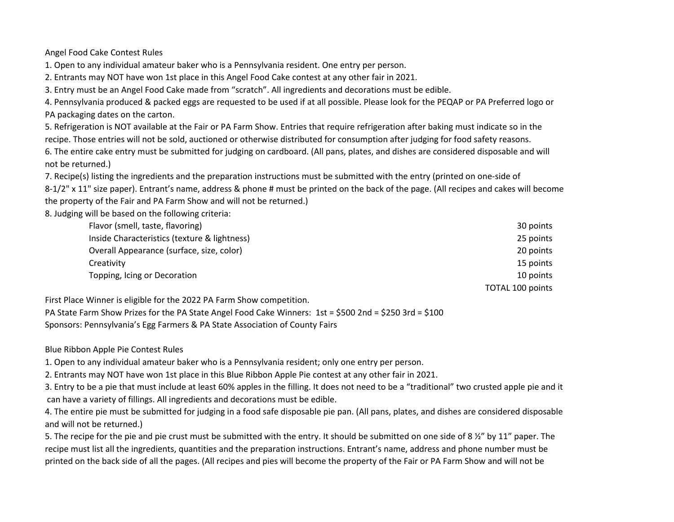Angel Food Cake Contest Rules

1. Open to any individual amateur baker who is a Pennsylvania resident. One entry per person.

2. Entrants may NOT have won 1st place in this Angel Food Cake contest at any other fair in 2021.

3. Entry must be an Angel Food Cake made from "scratch". All ingredients and decorations must be edible.

4. Pennsylvania produced & packed eggs are requested to be used if at all possible. Please look for the PEQAP or PA Preferred logo or PA packaging dates on the carton.

5. Refrigeration is NOT available at the Fair or PA Farm Show. Entries that require refrigeration after baking must indicate so in the recipe. Those entries will not be sold, auctioned or otherwise distributed for consumption after judging for food safety reasons. 6. The entire cake entry must be submitted for judging on cardboard. (All pans, plates, and dishes are considered disposable and will not be returned.)

7. Recipe(s) listing the ingredients and the preparation instructions must be submitted with the entry (printed on one-side of

8-1/2" x 11" size paper). Entrant's name, address & phone # must be printed on the back of the page. (All recipes and cakes will become the property of the Fair and PA Farm Show and will not be returned.)

8. Judging will be based on the following criteria:

| Flavor (smell, taste, flavoring)             | 30 points               |
|----------------------------------------------|-------------------------|
| Inside Characteristics (texture & lightness) | 25 points               |
| Overall Appearance (surface, size, color)    | 20 points               |
| Creativity                                   | 15 points               |
| Topping, Icing or Decoration                 | 10 points               |
|                                              | <b>TOTAL 100 points</b> |

First Place Winner is eligible for the 2022 PA Farm Show competition.

PA State Farm Show Prizes for the PA State Angel Food Cake Winners: 1st = \$500 2nd = \$250 3rd = \$100 Sponsors: Pennsylvania's Egg Farmers & PA State Association of County Fairs

Blue Ribbon Apple Pie Contest Rules

1. Open to any individual amateur baker who is a Pennsylvania resident; only one entry per person.

2. Entrants may NOT have won 1st place in this Blue Ribbon Apple Pie contest at any other fair in 2021.

3. Entry to be a pie that must include at least 60% apples in the filling. It does not need to be a "traditional" two crusted apple pie and it can have a variety of fillings. All ingredients and decorations must be edible.

4. The entire pie must be submitted for judging in a food safe disposable pie pan. (All pans, plates, and dishes are considered disposable and will not be returned.)

5. The recipe for the pie and pie crust must be submitted with the entry. It should be submitted on one side of 8  $\frac{1}{2}$  by 11" paper. The recipe must list all the ingredients, quantities and the preparation instructions. Entrant's name, address and phone number must be printed on the back side of all the pages. (All recipes and pies will become the property of the Fair or PA Farm Show and will not be